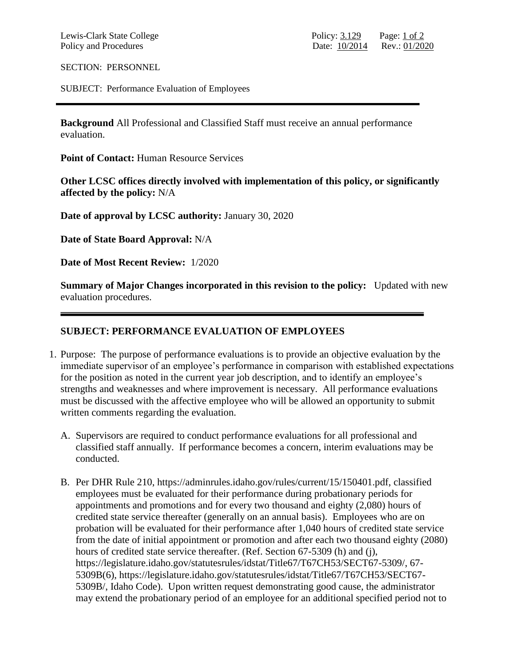SECTION: PERSONNEL

SUBJECT: Performance Evaluation of Employees

**Background** All Professional and Classified Staff must receive an annual performance evaluation.

**Point of Contact:** Human Resource Services

**Other LCSC offices directly involved with implementation of this policy, or significantly affected by the policy:** N/A

**Date of approval by LCSC authority:** January 30, 2020

**Date of State Board Approval:** N/A

**Date of Most Recent Review:** 1/2020

**Summary of Major Changes incorporated in this revision to the policy:** Updated with new evaluation procedures.

## **SUBJECT: PERFORMANCE EVALUATION OF EMPLOYEES**

- 1. Purpose: The purpose of performance evaluations is to provide an objective evaluation by the immediate supervisor of an employee's performance in comparison with established expectations for the position as noted in the current year job description, and to identify an employee's strengths and weaknesses and where improvement is necessary. All performance evaluations must be discussed with the affective employee who will be allowed an opportunity to submit written comments regarding the evaluation.
	- A. Supervisors are required to conduct performance evaluations for all professional and classified staff annually. If performance becomes a concern, interim evaluations may be conducted.
	- B. Per DHR Rule 210, https://adminrules.idaho.gov/rules/current/15/150401.pdf, classified employees must be evaluated for their performance during probationary periods for appointments and promotions and for every two thousand and eighty (2,080) hours of credited state service thereafter (generally on an annual basis). Employees who are on probation will be evaluated for their performance after 1,040 hours of credited state service from the date of initial appointment or promotion and after each two thousand eighty (2080) hours of credited state service thereafter. (Ref. Section 67-5309 (h) and (j), https://legislature.idaho.gov/statutesrules/idstat/Title67/T67CH53/SECT67-5309/, 67- 5309B(6), https://legislature.idaho.gov/statutesrules/idstat/Title67/T67CH53/SECT67- 5309B/, Idaho Code). Upon written request demonstrating good cause, the administrator may extend the probationary period of an employee for an additional specified period not to